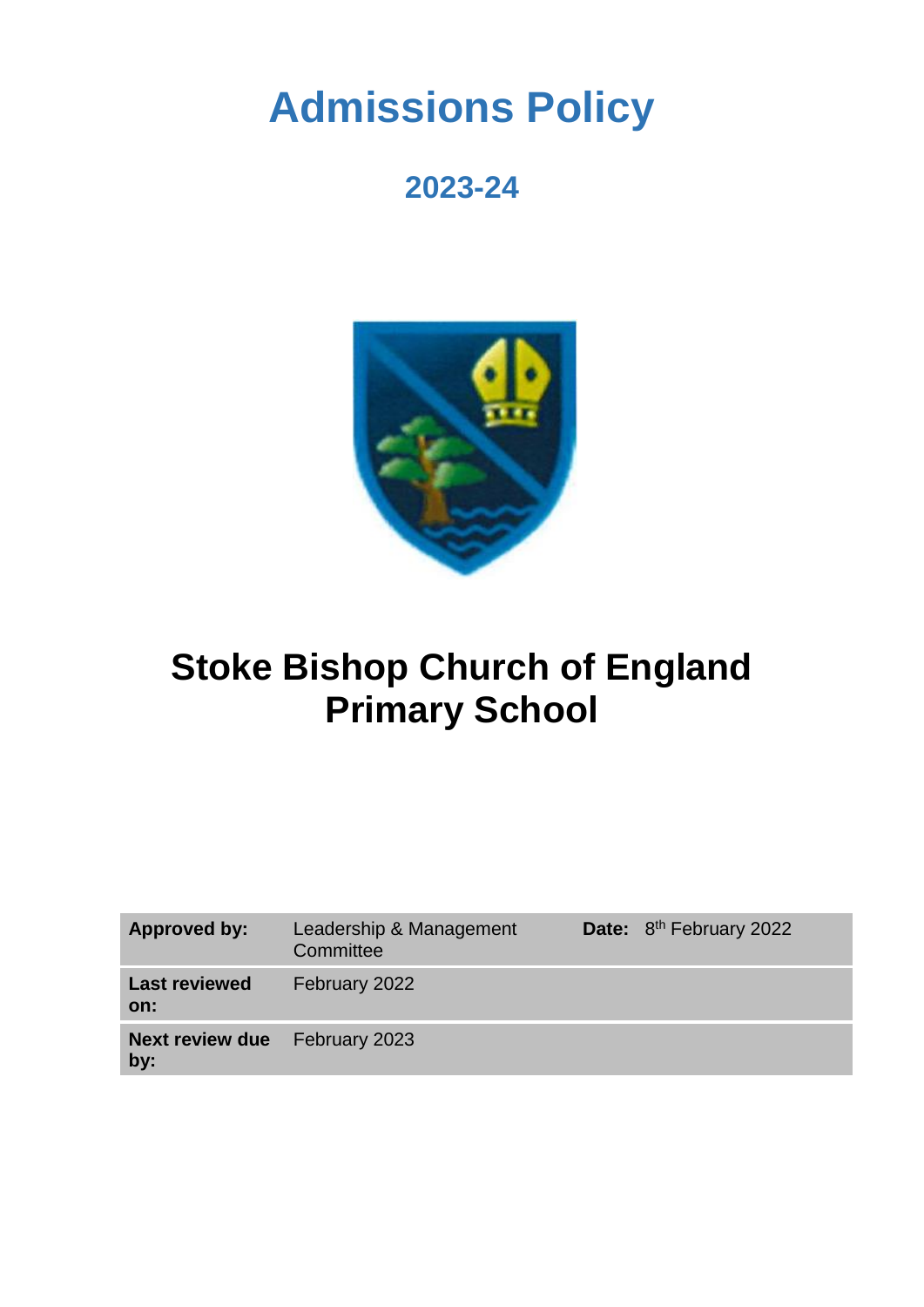# **Admissions Policy**

## **2023-24**



## **Stoke Bishop Church of England Primary School**

| Approved by:                  | Leadership & Management<br>Committee | Date: 8 <sup>th</sup> February 2022 |
|-------------------------------|--------------------------------------|-------------------------------------|
| <b>Last reviewed</b><br>on:   | February 2022                        |                                     |
| <b>Next review due</b><br>by: | February 2023                        |                                     |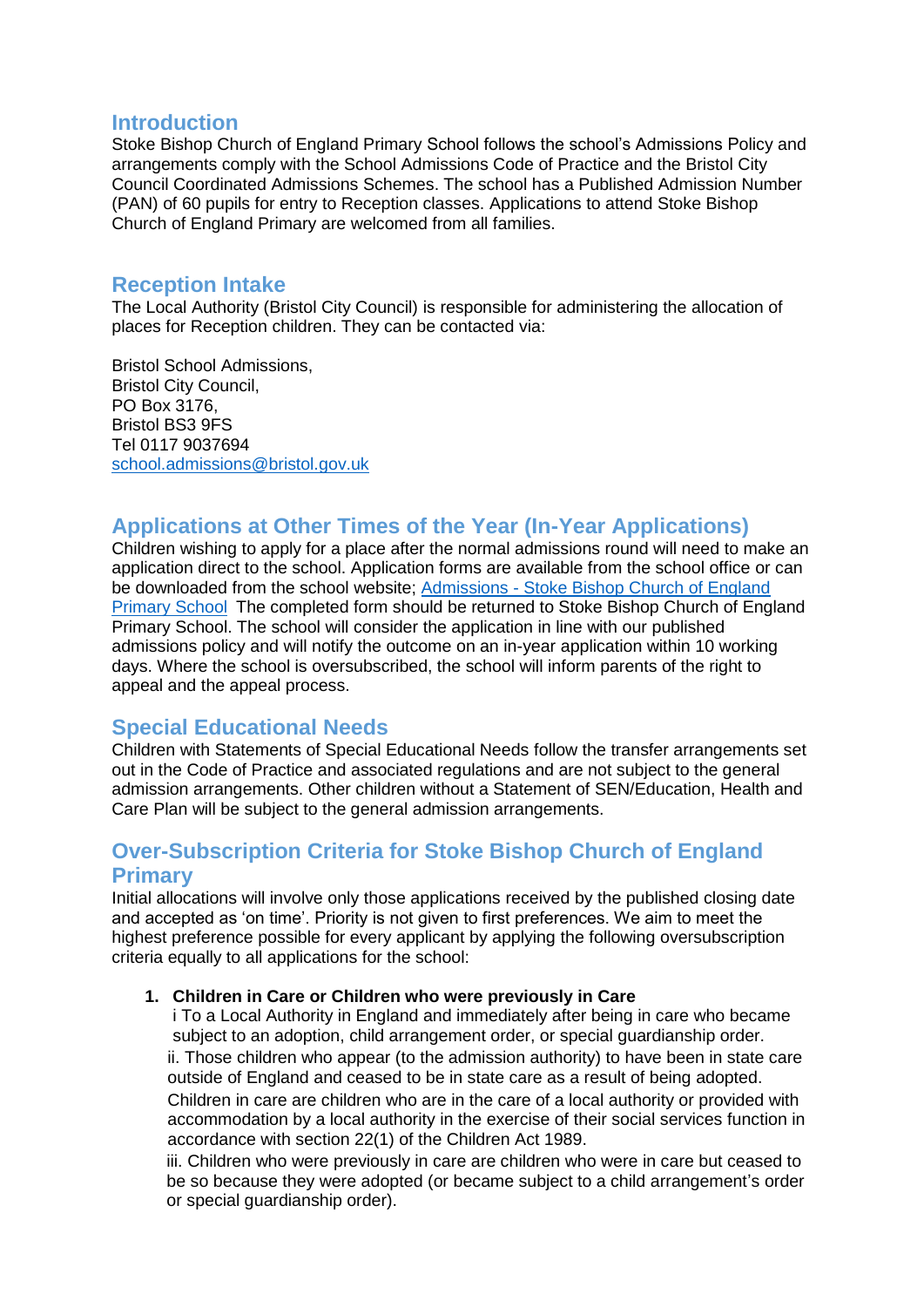#### **Introduction**

Stoke Bishop Church of England Primary School follows the school's Admissions Policy and arrangements comply with the School Admissions Code of Practice and the Bristol City Council Coordinated Admissions Schemes. The school has a Published Admission Number (PAN) of 60 pupils for entry to Reception classes. Applications to attend Stoke Bishop Church of England Primary are welcomed from all families.

## **Reception Intake**

The Local Authority (Bristol City Council) is responsible for administering the allocation of places for Reception children. They can be contacted via:

Bristol School Admissions, Bristol City Council, PO Box 3176, Bristol BS3 9FS Tel 0117 9037694 [school.admissions@bristol.gov.uk](mailto:school.admissions@bristol.gov.uk)

## **Applications at Other Times of the Year (In-Year Applications)**

Children wishing to apply for a place after the normal admissions round will need to make an application direct to the school. Application forms are available from the school office or can be downloaded from the school website; Admissions - [Stoke Bishop Church of England](https://www.stokebishop.bristol.sch.uk/school-office/admissions/)  [Primary School](https://www.stokebishop.bristol.sch.uk/school-office/admissions/) The completed form should be returned to Stoke Bishop Church of England Primary School. The school will consider the application in line with our published admissions policy and will notify the outcome on an in-year application within 10 working days. Where the school is oversubscribed, the school will inform parents of the right to appeal and the appeal process.

## **Special Educational Needs**

Children with Statements of Special Educational Needs follow the transfer arrangements set out in the Code of Practice and associated regulations and are not subject to the general admission arrangements. Other children without a Statement of SEN/Education, Health and Care Plan will be subject to the general admission arrangements.

## **Over-Subscription Criteria for Stoke Bishop Church of England Primary**

Initial allocations will involve only those applications received by the published closing date and accepted as 'on time'. Priority is not given to first preferences. We aim to meet the highest preference possible for every applicant by applying the following oversubscription criteria equally to all applications for the school:

#### **1. Children in Care or Children who were previously in Care**

i To a Local Authority in England and immediately after being in care who became subject to an adoption, child arrangement order, or special guardianship order. ii. Those children who appear (to the admission authority) to have been in state care outside of England and ceased to be in state care as a result of being adopted. Children in care are children who are in the care of a local authority or provided with accommodation by a local authority in the exercise of their social services function in accordance with section 22(1) of the Children Act 1989.

iii. Children who were previously in care are children who were in care but ceased to be so because they were adopted (or became subject to a child arrangement's order or special guardianship order).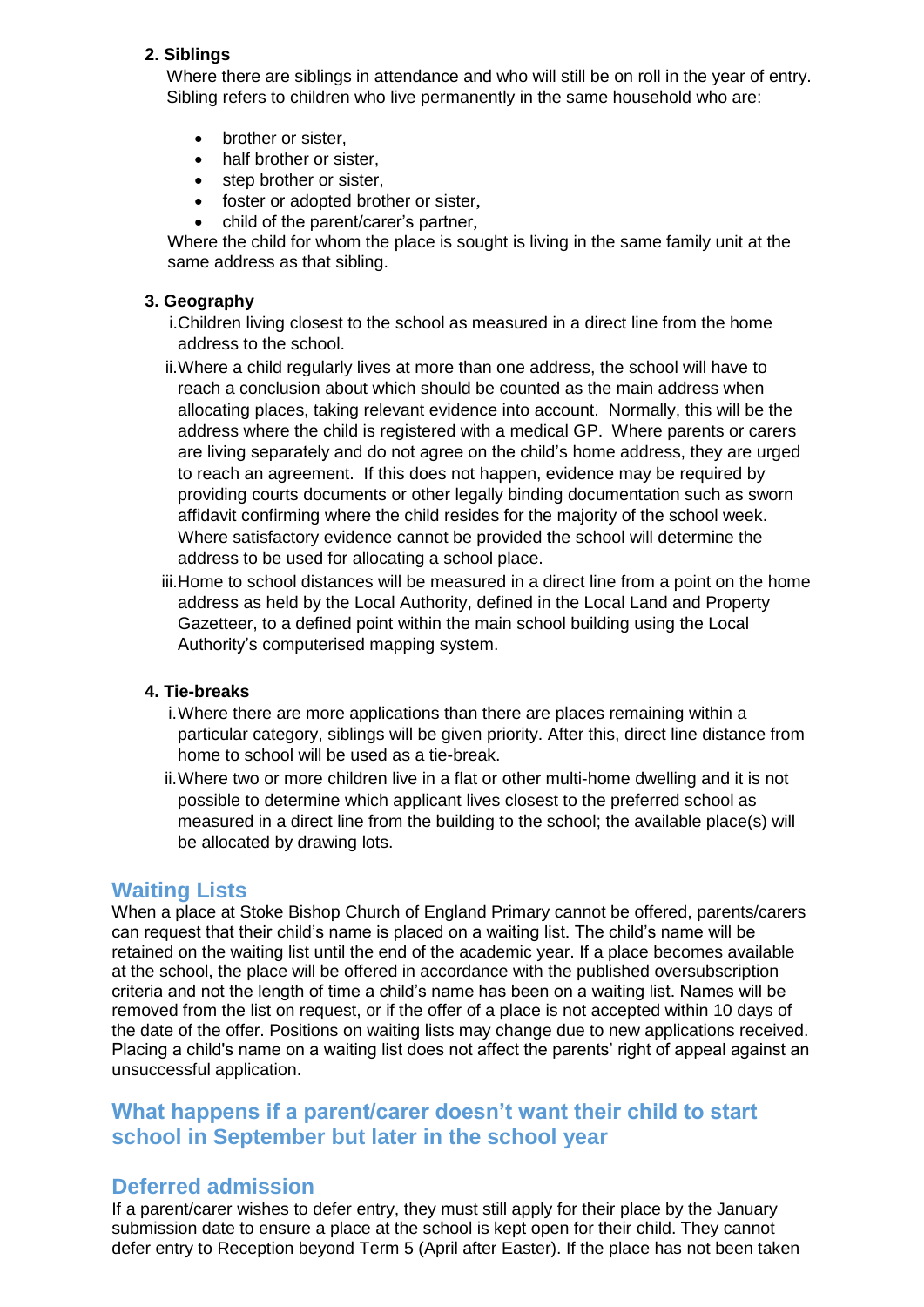#### **2. Siblings**

Where there are siblings in attendance and who will still be on roll in the year of entry. Sibling refers to children who live permanently in the same household who are:

- brother or sister,
- half brother or sister,
- step brother or sister,
- foster or adopted brother or sister,
- child of the parent/carer's partner,

Where the child for whom the place is sought is living in the same family unit at the same address as that sibling.

#### **3. Geography**

- i.Children living closest to the school as measured in a direct line from the home address to the school.
- ii.Where a child regularly lives at more than one address, the school will have to reach a conclusion about which should be counted as the main address when allocating places, taking relevant evidence into account. Normally, this will be the address where the child is registered with a medical GP. Where parents or carers are living separately and do not agree on the child's home address, they are urged to reach an agreement. If this does not happen, evidence may be required by providing courts documents or other legally binding documentation such as sworn affidavit confirming where the child resides for the majority of the school week. Where satisfactory evidence cannot be provided the school will determine the address to be used for allocating a school place.
- iii.Home to school distances will be measured in a direct line from a point on the home address as held by the Local Authority, defined in the Local Land and Property Gazetteer, to a defined point within the main school building using the Local Authority's computerised mapping system.

#### **4. Tie-breaks**

- i.Where there are more applications than there are places remaining within a particular category, siblings will be given priority. After this, direct line distance from home to school will be used as a tie-break.
- ii.Where two or more children live in a flat or other multi-home dwelling and it is not possible to determine which applicant lives closest to the preferred school as measured in a direct line from the building to the school; the available place(s) will be allocated by drawing lots.

#### **Waiting Lists**

When a place at Stoke Bishop Church of England Primary cannot be offered, parents/carers can request that their child's name is placed on a waiting list. The child's name will be retained on the waiting list until the end of the academic year. If a place becomes available at the school, the place will be offered in accordance with the published oversubscription criteria and not the length of time a child's name has been on a waiting list. Names will be removed from the list on request, or if the offer of a place is not accepted within 10 days of the date of the offer. Positions on waiting lists may change due to new applications received. Placing a child's name on a waiting list does not affect the parents' right of appeal against an unsuccessful application.

## **What happens if a parent/carer doesn't want their child to start school in September but later in the school year**

## **Deferred admission**

If a parent/carer wishes to defer entry, they must still apply for their place by the January submission date to ensure a place at the school is kept open for their child. They cannot defer entry to Reception beyond Term 5 (April after Easter). If the place has not been taken